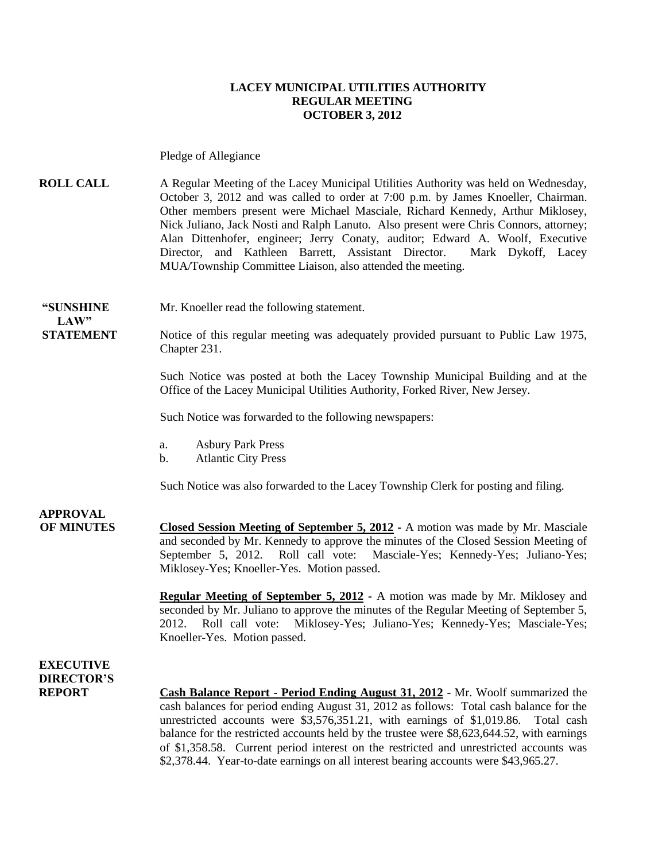#### **LACEY MUNICIPAL UTILITIES AUTHORITY REGULAR MEETING OCTOBER 3, 2012**

Pledge of Allegiance

**ROLL CALL** A Regular Meeting of the Lacey Municipal Utilities Authority was held on Wednesday, October 3, 2012 and was called to order at 7:00 p.m. by James Knoeller, Chairman. Other members present were Michael Masciale, Richard Kennedy, Arthur Miklosey, Nick Juliano, Jack Nosti and Ralph Lanuto. Also present were Chris Connors, attorney; Alan Dittenhofer, engineer; Jerry Conaty, auditor; Edward A. Woolf, Executive Director, and Kathleen Barrett, Assistant Director. Mark Dykoff, Lacey MUA/Township Committee Liaison, also attended the meeting.

**"SUNSHINE** Mr. Knoeller read the following statement.

**STATEMENT** Notice of this regular meeting was adequately provided pursuant to Public Law 1975, Chapter 231.

> Such Notice was posted at both the Lacey Township Municipal Building and at the Office of the Lacey Municipal Utilities Authority, Forked River, New Jersey.

Such Notice was forwarded to the following newspapers:

- a. Asbury Park Press
- b. Atlantic City Press

Such Notice was also forwarded to the Lacey Township Clerk for posting and filing.

**APPROVAL OF MINUTES Closed Session Meeting of September 5, 2012 -** A motion was made by Mr. Masciale and seconded by Mr. Kennedy to approve the minutes of the Closed Session Meeting of September 5, 2012. Roll call vote: Masciale-Yes; Kennedy-Yes; Juliano-Yes; Miklosey-Yes; Knoeller-Yes. Motion passed.

> **Regular Meeting of September 5, 2012 -** A motion was made by Mr. Miklosey and seconded by Mr. Juliano to approve the minutes of the Regular Meeting of September 5, 2012. Roll call vote: Miklosey-Yes; Juliano-Yes; Kennedy-Yes; Masciale-Yes; Knoeller-Yes. Motion passed.

**EXECUTIVE DIRECTOR'S**

 $LAW"$ 

**REPORT Cash Balance Report - Period Ending August 31, 2012** - Mr. Woolf summarized the cash balances for period ending August 31, 2012 as follows: Total cash balance for the unrestricted accounts were \$3,576,351.21, with earnings of \$1,019.86. Total cash balance for the restricted accounts held by the trustee were \$8,623,644.52, with earnings of \$1,358.58. Current period interest on the restricted and unrestricted accounts was \$2,378.44. Year-to-date earnings on all interest bearing accounts were \$43,965.27.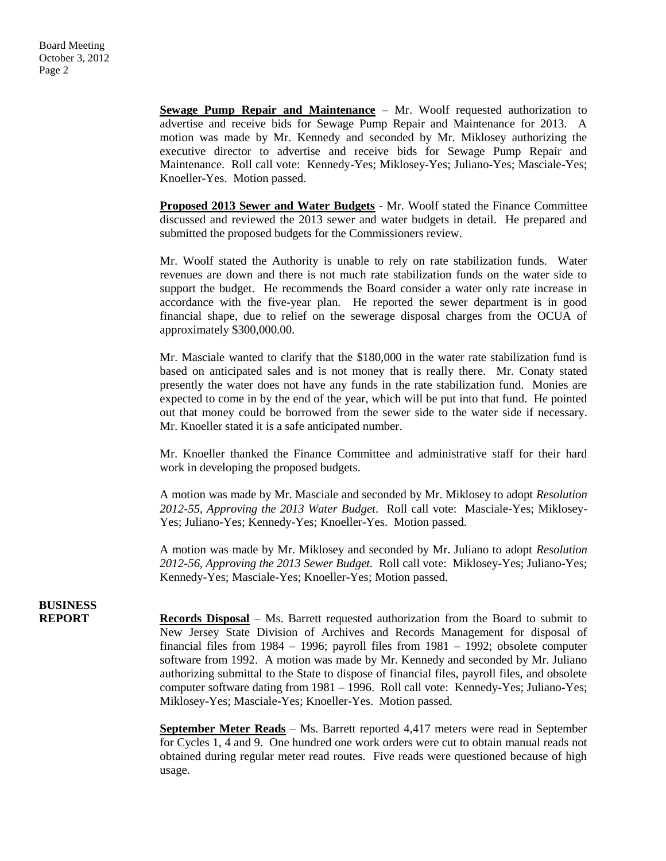**Sewage Pump Repair and Maintenance** – Mr. Woolf requested authorization to advertise and receive bids for Sewage Pump Repair and Maintenance for 2013. A motion was made by Mr. Kennedy and seconded by Mr. Miklosey authorizing the executive director to advertise and receive bids for Sewage Pump Repair and Maintenance. Roll call vote: Kennedy-Yes; Miklosey-Yes; Juliano-Yes; Masciale-Yes; Knoeller-Yes. Motion passed.

**Proposed 2013 Sewer and Water Budgets** - Mr. Woolf stated the Finance Committee discussed and reviewed the 2013 sewer and water budgets in detail. He prepared and submitted the proposed budgets for the Commissioners review.

Mr. Woolf stated the Authority is unable to rely on rate stabilization funds. Water revenues are down and there is not much rate stabilization funds on the water side to support the budget. He recommends the Board consider a water only rate increase in accordance with the five-year plan. He reported the sewer department is in good financial shape, due to relief on the sewerage disposal charges from the OCUA of approximately \$300,000.00.

Mr. Masciale wanted to clarify that the \$180,000 in the water rate stabilization fund is based on anticipated sales and is not money that is really there. Mr. Conaty stated presently the water does not have any funds in the rate stabilization fund. Monies are expected to come in by the end of the year, which will be put into that fund. He pointed out that money could be borrowed from the sewer side to the water side if necessary. Mr. Knoeller stated it is a safe anticipated number.

Mr. Knoeller thanked the Finance Committee and administrative staff for their hard work in developing the proposed budgets.

A motion was made by Mr. Masciale and seconded by Mr. Miklosey to adopt *Resolution 2012-55, Approving the 2013 Water Budget*. Roll call vote: Masciale-Yes; Miklosey-Yes; Juliano-Yes; Kennedy-Yes; Knoeller-Yes. Motion passed.

A motion was made by Mr. Miklosey and seconded by Mr. Juliano to adopt *Resolution 2012-56, Approving the 2013 Sewer Budget.* Roll call vote: Miklosey-Yes; Juliano-Yes; Kennedy-Yes; Masciale-Yes; Knoeller-Yes; Motion passed.

## **BUSINESS**

**REPORT Records Disposal** – Ms. Barrett requested authorization from the Board to submit to New Jersey State Division of Archives and Records Management for disposal of financial files from 1984 – 1996; payroll files from 1981 – 1992; obsolete computer software from 1992. A motion was made by Mr. Kennedy and seconded by Mr. Juliano authorizing submittal to the State to dispose of financial files, payroll files, and obsolete computer software dating from 1981 – 1996. Roll call vote: Kennedy-Yes; Juliano-Yes; Miklosey-Yes; Masciale-Yes; Knoeller-Yes. Motion passed.

> **September Meter Reads** – Ms. Barrett reported 4,417 meters were read in September for Cycles 1, 4 and 9. One hundred one work orders were cut to obtain manual reads not obtained during regular meter read routes. Five reads were questioned because of high usage.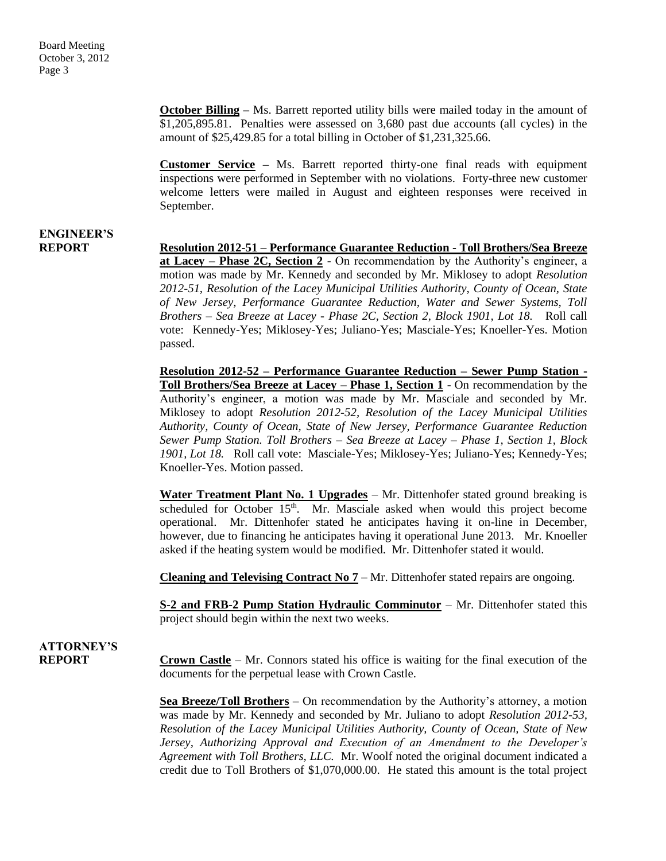**October Billing** – Ms. Barrett reported utility bills were mailed today in the amount of \$1,205,895.81. Penalties were assessed on 3,680 past due accounts (all cycles) in the amount of \$25,429.85 for a total billing in October of \$1,231,325.66.

**Customer Service –** Ms. Barrett reported thirty-one final reads with equipment inspections were performed in September with no violations. Forty-three new customer welcome letters were mailed in August and eighteen responses were received in September.

# **ENGINEER'S**

**REPORT Resolution 2012-51 – Performance Guarantee Reduction - Toll Brothers/Sea Breeze at Lacey – Phase 2C, Section 2** - On recommendation by the Authority's engineer, a motion was made by Mr. Kennedy and seconded by Mr. Miklosey to adopt *Resolution 2012-51, Resolution of the Lacey Municipal Utilities Authority, County of Ocean, State of New Jersey, Performance Guarantee Reduction, Water and Sewer Systems, Toll Brothers – Sea Breeze at Lacey - Phase 2C, Section 2, Block 1901, Lot 18.* Roll call vote: Kennedy-Yes; Miklosey-Yes; Juliano-Yes; Masciale-Yes; Knoeller-Yes. Motion passed.

> **Resolution 2012-52 – Performance Guarantee Reduction – Sewer Pump Station - Toll Brothers/Sea Breeze at Lacey – Phase 1, Section 1** - On recommendation by the Authority's engineer, a motion was made by Mr. Masciale and seconded by Mr. Miklosey to adopt *Resolution 2012-52, Resolution of the Lacey Municipal Utilities Authority, County of Ocean, State of New Jersey, Performance Guarantee Reduction Sewer Pump Station. Toll Brothers – Sea Breeze at Lacey – Phase 1, Section 1, Block 1901, Lot 18.* Roll call vote: Masciale-Yes; Miklosey-Yes; Juliano-Yes; Kennedy-Yes; Knoeller-Yes. Motion passed.

> **Water Treatment Plant No. 1 Upgrades** – Mr. Dittenhofer stated ground breaking is scheduled for October  $15<sup>th</sup>$ . Mr. Masciale asked when would this project become operational. Mr. Dittenhofer stated he anticipates having it on-line in December, however, due to financing he anticipates having it operational June 2013. Mr. Knoeller asked if the heating system would be modified. Mr. Dittenhofer stated it would.

**Cleaning and Televising Contract No 7** – Mr. Dittenhofer stated repairs are ongoing.

**S-2 and FRB-2 Pump Station Hydraulic Comminutor** – Mr. Dittenhofer stated this project should begin within the next two weeks.

### **ATTORNEY'S**

**REPORT Crown Castle** – Mr. Connors stated his office is waiting for the final execution of the documents for the perpetual lease with Crown Castle.

> **Sea Breeze/Toll Brothers** – On recommendation by the Authority's attorney, a motion was made by Mr. Kennedy and seconded by Mr. Juliano to adopt *Resolution 2012-53, Resolution of the Lacey Municipal Utilities Authority, County of Ocean, State of New Jersey, Authorizing Approval and Execution of an Amendment to the Developer's Agreement with Toll Brothers, LLC.* Mr. Woolf noted the original document indicated a credit due to Toll Brothers of \$1,070,000.00. He stated this amount is the total project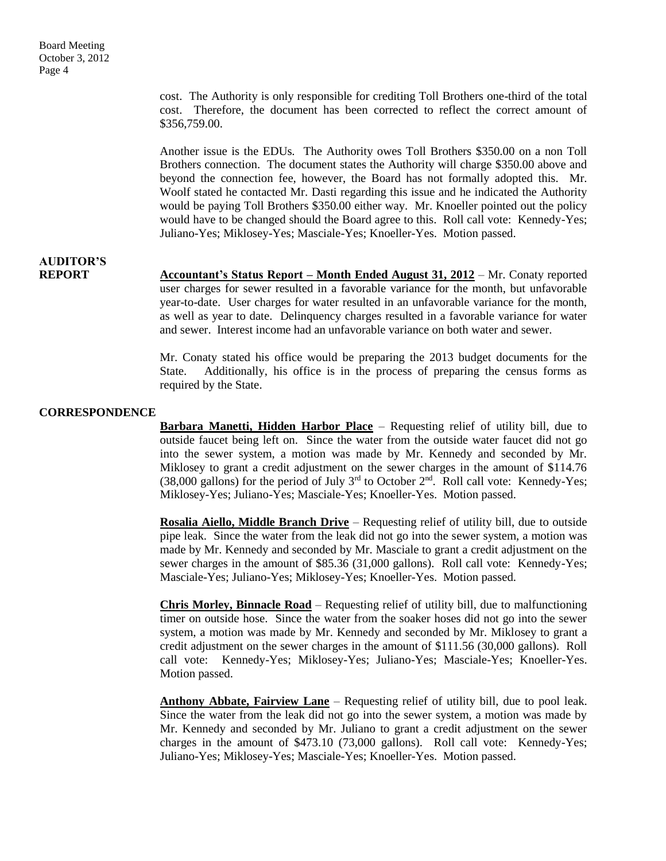cost. The Authority is only responsible for crediting Toll Brothers one-third of the total cost. Therefore, the document has been corrected to reflect the correct amount of \$356,759.00.

Another issue is the EDUs. The Authority owes Toll Brothers \$350.00 on a non Toll Brothers connection. The document states the Authority will charge \$350.00 above and beyond the connection fee, however, the Board has not formally adopted this. Mr. Woolf stated he contacted Mr. Dasti regarding this issue and he indicated the Authority would be paying Toll Brothers \$350.00 either way. Mr. Knoeller pointed out the policy would have to be changed should the Board agree to this. Roll call vote: Kennedy-Yes; Juliano-Yes; Miklosey-Yes; Masciale-Yes; Knoeller-Yes. Motion passed.

### **AUDITOR'S**

**REPORT Accountant's Status Report – Month Ended August 31, 2012** – Mr. Conaty reported user charges for sewer resulted in a favorable variance for the month, but unfavorable year-to-date. User charges for water resulted in an unfavorable variance for the month, as well as year to date. Delinquency charges resulted in a favorable variance for water and sewer. Interest income had an unfavorable variance on both water and sewer.

> Mr. Conaty stated his office would be preparing the 2013 budget documents for the State. Additionally, his office is in the process of preparing the census forms as required by the State.

#### **CORRESPONDENCE**

**Barbara Manetti, Hidden Harbor Place** – Requesting relief of utility bill, due to outside faucet being left on. Since the water from the outside water faucet did not go into the sewer system, a motion was made by Mr. Kennedy and seconded by Mr. Miklosey to grant a credit adjustment on the sewer charges in the amount of \$114.76 (38,000 gallons) for the period of July  $3<sup>rd</sup>$  to October  $2<sup>nd</sup>$ . Roll call vote: Kennedy-Yes; Miklosey-Yes; Juliano-Yes; Masciale-Yes; Knoeller-Yes. Motion passed.

**Rosalia Aiello, Middle Branch Drive** – Requesting relief of utility bill, due to outside pipe leak. Since the water from the leak did not go into the sewer system, a motion was made by Mr. Kennedy and seconded by Mr. Masciale to grant a credit adjustment on the sewer charges in the amount of \$85.36 (31,000 gallons). Roll call vote: Kennedy-Yes; Masciale-Yes; Juliano-Yes; Miklosey-Yes; Knoeller-Yes. Motion passed.

**Chris Morley, Binnacle Road** – Requesting relief of utility bill, due to malfunctioning timer on outside hose. Since the water from the soaker hoses did not go into the sewer system, a motion was made by Mr. Kennedy and seconded by Mr. Miklosey to grant a credit adjustment on the sewer charges in the amount of \$111.56 (30,000 gallons). Roll call vote: Kennedy-Yes; Miklosey-Yes; Juliano-Yes; Masciale-Yes; Knoeller-Yes. Motion passed.

**Anthony Abbate, Fairview Lane** – Requesting relief of utility bill, due to pool leak. Since the water from the leak did not go into the sewer system, a motion was made by Mr. Kennedy and seconded by Mr. Juliano to grant a credit adjustment on the sewer charges in the amount of \$473.10 (73,000 gallons). Roll call vote: Kennedy-Yes; Juliano-Yes; Miklosey-Yes; Masciale-Yes; Knoeller-Yes. Motion passed.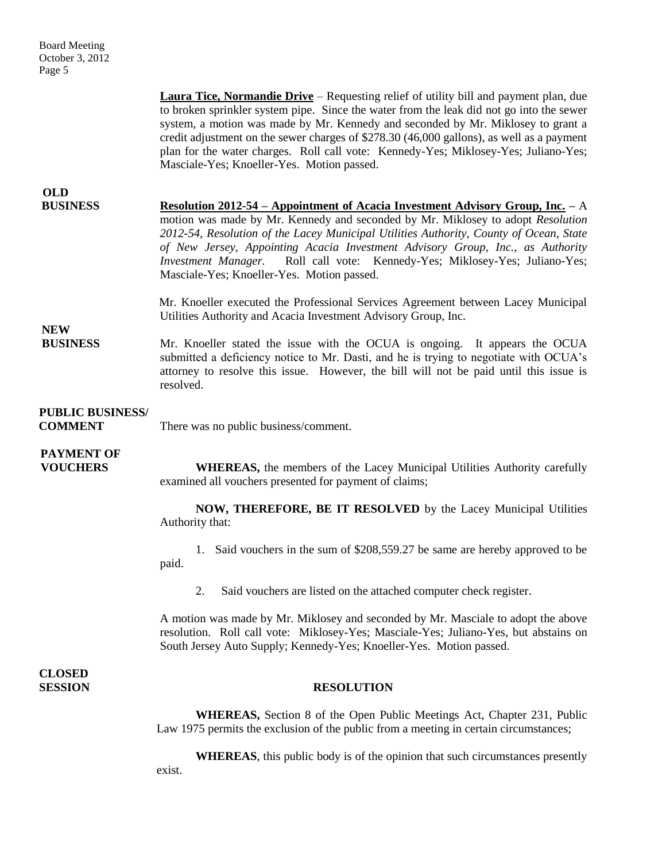| <b>Board Meeting</b> |
|----------------------|
| October 3, 2012      |
| Page 5               |

|                                           | <b>Laura Tice, Normandie Drive</b> – Requesting relief of utility bill and payment plan, due<br>to broken sprinkler system pipe. Since the water from the leak did not go into the sewer<br>system, a motion was made by Mr. Kennedy and seconded by Mr. Miklosey to grant a<br>credit adjustment on the sewer charges of \$278.30 (46,000 gallons), as well as a payment<br>plan for the water charges. Roll call vote: Kennedy-Yes; Miklosey-Yes; Juliano-Yes;<br>Masciale-Yes; Knoeller-Yes. Motion passed. |
|-------------------------------------------|----------------------------------------------------------------------------------------------------------------------------------------------------------------------------------------------------------------------------------------------------------------------------------------------------------------------------------------------------------------------------------------------------------------------------------------------------------------------------------------------------------------|
| <b>OLD</b><br><b>BUSINESS</b>             | <u> Resolution 2012-54 – Appointment of Acacia Investment Advisory Group, Inc.</u> – A<br>motion was made by Mr. Kennedy and seconded by Mr. Miklosey to adopt Resolution<br>2012-54, Resolution of the Lacey Municipal Utilities Authority, County of Ocean, State<br>of New Jersey, Appointing Acacia Investment Advisory Group, Inc., as Authority<br>Investment Manager. Roll call vote: Kennedy-Yes; Miklosey-Yes; Juliano-Yes;<br>Masciale-Yes; Knoeller-Yes. Motion passed.                             |
| <b>NEW</b><br><b>BUSINESS</b>             | Mr. Knoeller executed the Professional Services Agreement between Lacey Municipal<br>Utilities Authority and Acacia Investment Advisory Group, Inc.                                                                                                                                                                                                                                                                                                                                                            |
|                                           | Mr. Knoeller stated the issue with the OCUA is ongoing. It appears the OCUA<br>submitted a deficiency notice to Mr. Dasti, and he is trying to negotiate with OCUA's<br>attorney to resolve this issue. However, the bill will not be paid until this issue is<br>resolved.                                                                                                                                                                                                                                    |
| <b>PUBLIC BUSINESS/</b><br><b>COMMENT</b> | There was no public business/comment.                                                                                                                                                                                                                                                                                                                                                                                                                                                                          |
| <b>PAYMENT OF</b><br><b>VOUCHERS</b>      | <b>WHEREAS</b> , the members of the Lacey Municipal Utilities Authority carefully<br>examined all vouchers presented for payment of claims;                                                                                                                                                                                                                                                                                                                                                                    |
|                                           | NOW, THEREFORE, BE IT RESOLVED by the Lacey Municipal Utilities<br>Authority that:                                                                                                                                                                                                                                                                                                                                                                                                                             |
|                                           | 1. Said vouchers in the sum of \$208,559.27 be same are hereby approved to be<br>paid.                                                                                                                                                                                                                                                                                                                                                                                                                         |
|                                           | Said vouchers are listed on the attached computer check register.<br>2.                                                                                                                                                                                                                                                                                                                                                                                                                                        |
|                                           | A motion was made by Mr. Miklosey and seconded by Mr. Masciale to adopt the above<br>resolution. Roll call vote: Miklosey-Yes; Masciale-Yes; Juliano-Yes, but abstains on<br>South Jersey Auto Supply; Kennedy-Yes; Knoeller-Yes. Motion passed.                                                                                                                                                                                                                                                               |
| <b>CLOSED</b><br><b>SESSION</b>           | <b>RESOLUTION</b>                                                                                                                                                                                                                                                                                                                                                                                                                                                                                              |
|                                           | <b>WHEREAS</b> , Section 8 of the Open Public Meetings Act, Chapter 231, Public<br>Law 1975 permits the exclusion of the public from a meeting in certain circumstances;                                                                                                                                                                                                                                                                                                                                       |
|                                           | <b>WHEREAS</b> , this public body is of the opinion that such circumstances presently<br>exist.                                                                                                                                                                                                                                                                                                                                                                                                                |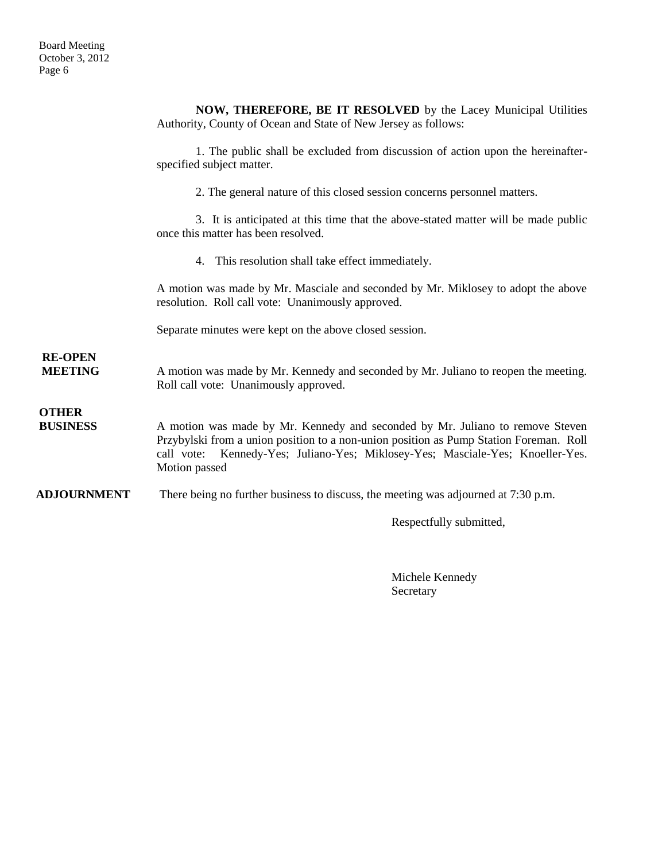|                                  | NOW, THEREFORE, BE IT RESOLVED by the Lacey Municipal Utilities                                                                                                                                                                                                            |
|----------------------------------|----------------------------------------------------------------------------------------------------------------------------------------------------------------------------------------------------------------------------------------------------------------------------|
|                                  | Authority, County of Ocean and State of New Jersey as follows:                                                                                                                                                                                                             |
|                                  | 1. The public shall be excluded from discussion of action upon the hereinafter-                                                                                                                                                                                            |
|                                  | specified subject matter.                                                                                                                                                                                                                                                  |
|                                  | 2. The general nature of this closed session concerns personnel matters.                                                                                                                                                                                                   |
|                                  | 3. It is anticipated at this time that the above-stated matter will be made public<br>once this matter has been resolved.                                                                                                                                                  |
|                                  | 4. This resolution shall take effect immediately.                                                                                                                                                                                                                          |
|                                  | A motion was made by Mr. Masciale and seconded by Mr. Miklosey to adopt the above<br>resolution. Roll call vote: Unanimously approved.                                                                                                                                     |
|                                  | Separate minutes were kept on the above closed session.                                                                                                                                                                                                                    |
| <b>RE-OPEN</b><br><b>MEETING</b> | A motion was made by Mr. Kennedy and seconded by Mr. Juliano to reopen the meeting.<br>Roll call vote: Unanimously approved.                                                                                                                                               |
| <b>OTHER</b><br><b>BUSINESS</b>  | A motion was made by Mr. Kennedy and seconded by Mr. Juliano to remove Steven<br>Przybylski from a union position to a non-union position as Pump Station Foreman. Roll<br>call vote: Kennedy-Yes; Juliano-Yes; Miklosey-Yes; Masciale-Yes; Knoeller-Yes.<br>Motion passed |
| <b>ADJOURNMENT</b>               | There being no further business to discuss, the meeting was adjourned at 7:30 p.m.                                                                                                                                                                                         |

Respectfully submitted,

Michele Kennedy Secretary